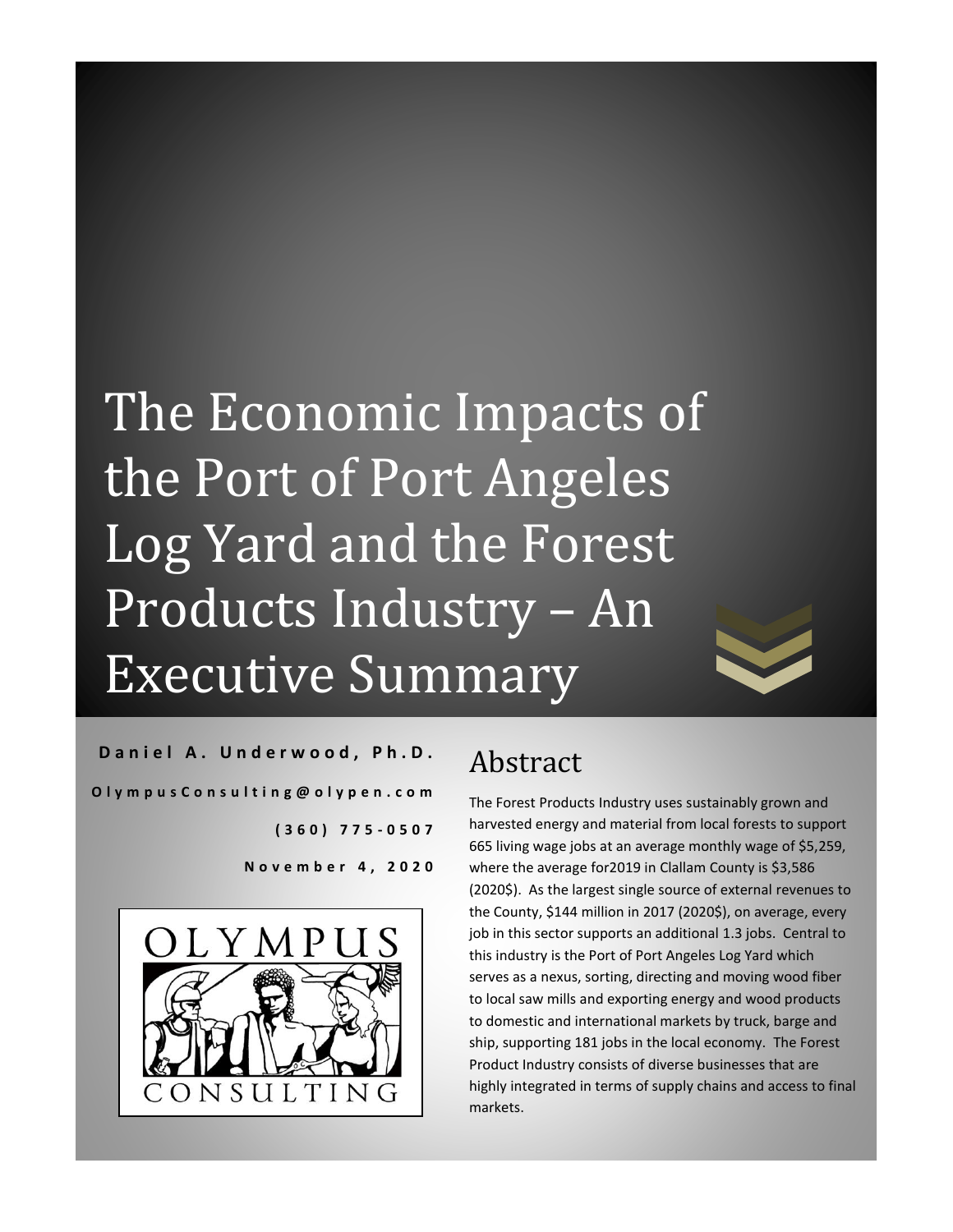# The Economic Impacts of the Port of Port Angeles Log Yard and the Forest Products Industry – An Executive Summary



**[** *| <u>P i c i c k t i d a t i d a t i d a t i d a t i d a t i d a*</u> ONSULTING

## Abstract

The Forest Products Industry uses sustainably grown and harvested energy and material from local forests to support 665 living wage jobs at an average monthly wage of \$5,259, where the average for 2019 in Clallam County is \$3,586 (2020\$). As the largest single source of external revenues to the County, \$144 million in 2017 (2020\$), on average, every job in this sector supports an additional 1.3 jobs. Central to this industry is the Port of Port Angeles Log Yard which serves as a nexus, sorting, directing and moving wood fiber to local saw mills and exporting energy and wood products to domestic and international markets by truck, barge and ship, supporting 181 jobs in the local economy. The Forest Product Industry consists of diverse businesses that are highly integrated in terms of supply chains and access to final markets.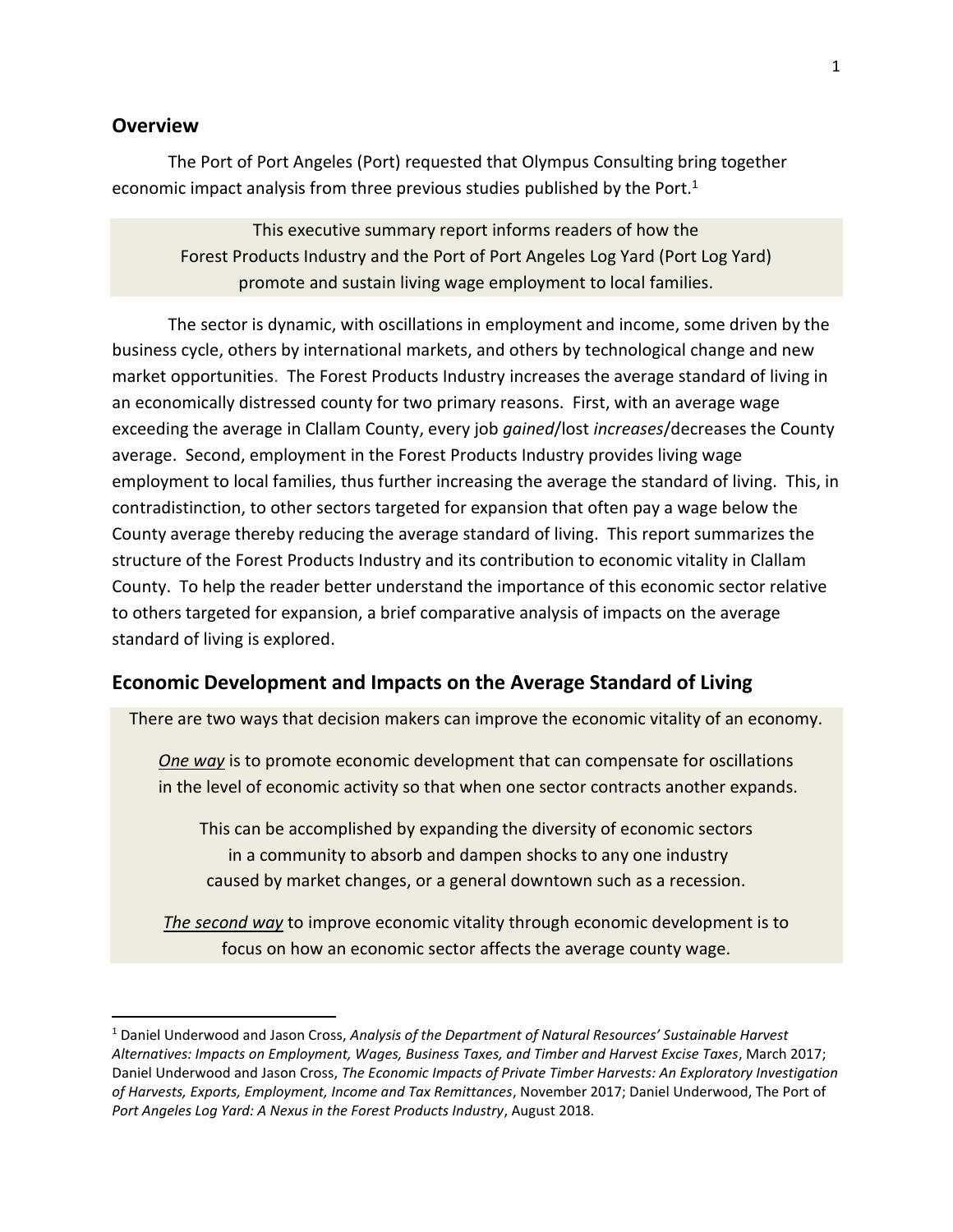#### **Overview**

The Port of Port Angeles (Port) requested that Olympus Consulting bring together economic impact analysis from three previous studies published by the Port.<sup>1</sup>

This executive summary report informs readers of how the Forest Products Industry and the Port of Port Angeles Log Yard (Port Log Yard) promote and sustain living wage employment to local families.

The sector is dynamic, with oscillations in employment and income, some driven by the business cycle, others by international markets, and others by technological change and new market opportunities. The Forest Products Industry increases the average standard of living in an economically distressed county for two primary reasons. First, with an average wage exceeding the average in Clallam County, every job *gained*/lost *increases*/decreases the County average. Second, employment in the Forest Products Industry provides living wage employment to local families, thus further increasing the average the standard of living. This, in contradistinction, to other sectors targeted for expansion that often pay a wage below the County average thereby reducing the average standard of living. This report summarizes the structure of the Forest Products Industry and its contribution to economic vitality in Clallam County. To help the reader better understand the importance of this economic sector relative to others targeted for expansion, a brief comparative analysis of impacts on the average standard of living is explored.

#### **Economic Development and Impacts on the Average Standard of Living**

There are two ways that decision makers can improve the economic vitality of an economy.

*One way* is to promote economic development that can compensate for oscillations in the level of economic activity so that when one sector contracts another expands.

This can be accomplished by expanding the diversity of economic sectors in a community to absorb and dampen shocks to any one industry caused by market changes, or a general downtown such as a recession.

*The second way* to improve economic vitality through economic development is to focus on how an economic sector affects the average county wage.

<sup>1</sup> Daniel Underwood and Jason Cross, *Analysis of the Department of Natural Resources' Sustainable Harvest Alternatives: Impacts on Employment, Wages, Business Taxes, and Timber and Harvest Excise Taxes*, March 2017; Daniel Underwood and Jason Cross, *The Economic Impacts of Private Timber Harvests: An Exploratory Investigation of Harvests, Exports, Employment, Income and Tax Remittances*, November 2017; Daniel Underwood, The Port of *Port Angeles Log Yard: A Nexus in the Forest Products Industry*, August 2018.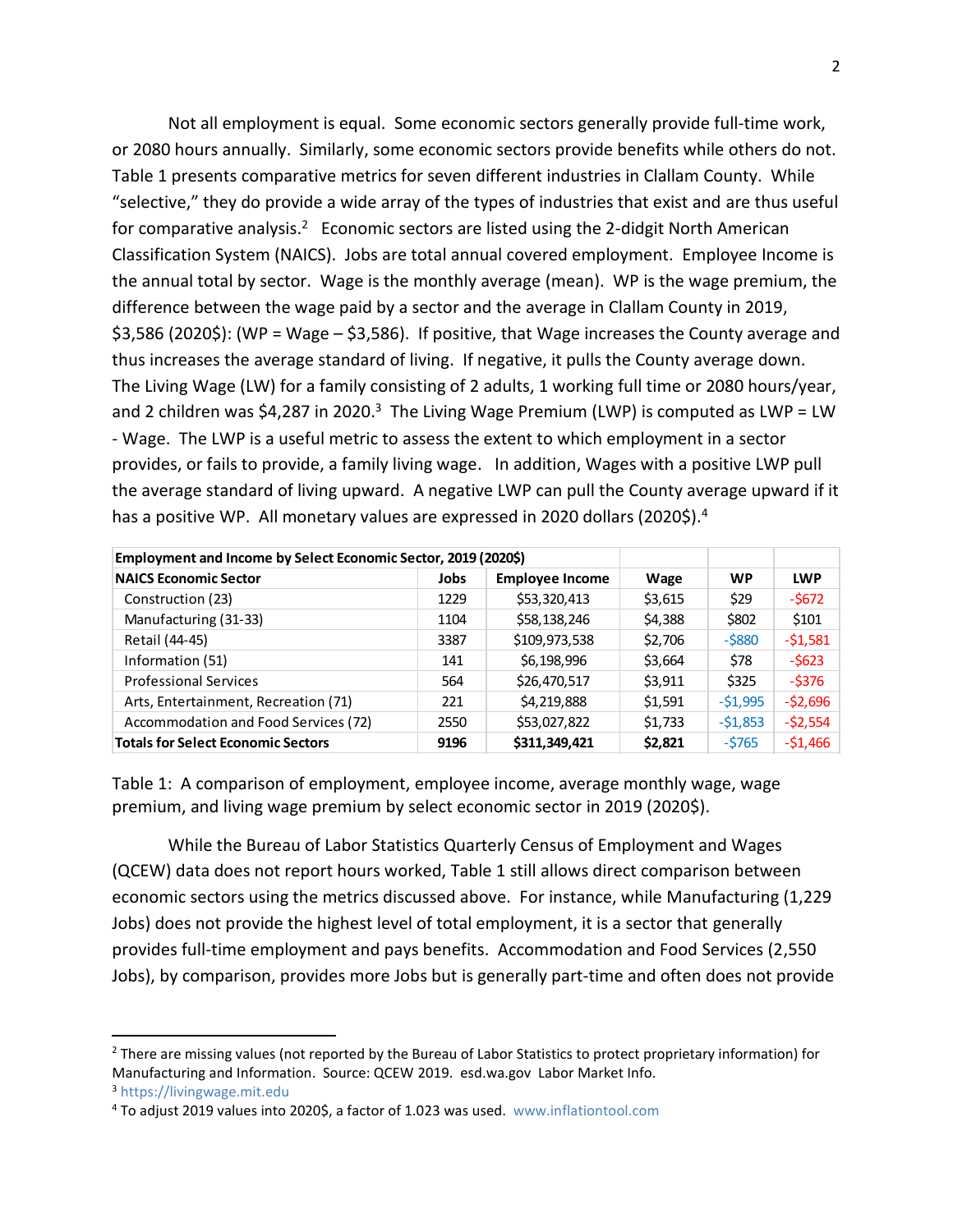Not all employment is equal. Some economic sectors generally provide full-time work, or 2080 hours annually. Similarly, some economic sectors provide benefits while others do not. Table 1 presents comparative metrics for seven different industries in Clallam County. While "selective," they do provide a wide array of the types of industries that exist and are thus useful for comparative analysis.<sup>2</sup> Economic sectors are listed using the 2-didgit North American Classification System (NAICS). Jobs are total annual covered employment. Employee Income is the annual total by sector. Wage is the monthly average (mean). WP is the wage premium, the difference between the wage paid by a sector and the average in Clallam County in 2019, \$3,586 (2020\$): (WP = Wage – \$3,586). If positive, that Wage increases the County average and thus increases the average standard of living. If negative, it pulls the County average down. The Living Wage (LW) for a family consisting of 2 adults, 1 working full time or 2080 hours/year, and 2 children was \$4,287 in 2020.<sup>3</sup> The Living Wage Premium (LWP) is computed as LWP = LW - Wage. The LWP is a useful metric to assess the extent to which employment in a sector provides, or fails to provide, a family living wage. In addition, Wages with a positive LWP pull the average standard of living upward. A negative LWP can pull the County average upward if it

| Employment and Income by Select Economic Sector, 2019 (2020\$) |             |                        |         |           |            |
|----------------------------------------------------------------|-------------|------------------------|---------|-----------|------------|
| <b>NAICS Economic Sector</b>                                   | <b>Jobs</b> | <b>Employee Income</b> | Wage    | <b>WP</b> | <b>LWP</b> |
| Construction (23)                                              | 1229        | \$53,320,413           | \$3,615 | \$29      | $-5672$    |
| Manufacturing (31-33)                                          | 1104        | \$58,138,246           | \$4,388 | \$802     | \$101      |
| Retail (44-45)                                                 | 3387        | \$109,973,538          | \$2,706 | $-$ \$880 | $-51,581$  |
| Information (51)                                               | 141         | \$6,198,996            | \$3,664 | \$78      | $-5623$    |
| <b>Professional Services</b>                                   | 564         | \$26,470,517           | \$3,911 | \$325     | $-$ \$376  |
| Arts, Entertainment, Recreation (71)                           | 221         | \$4,219,888            | \$1,591 | $-51,995$ | $-52,696$  |
| Accommodation and Food Services (72)                           | 2550        | \$53,027,822           | \$1,733 | $-51,853$ | $-52,554$  |
| <b>Totals for Select Economic Sectors</b>                      | 9196        | \$311,349,421          | \$2,821 | $-5765$   | $-51,466$  |

Table 1: A comparison of employment, employee income, average monthly wage, wage premium, and living wage premium by select economic sector in 2019 (2020\$).

While the Bureau of Labor Statistics Quarterly Census of Employment and Wages (QCEW) data does not report hours worked, Table 1 still allows direct comparison between economic sectors using the metrics discussed above. For instance, while Manufacturing (1,229 Jobs) does not provide the highest level of total employment, it is a sector that generally provides full-time employment and pays benefits. Accommodation and Food Services (2,550 Jobs), by comparison, provides more Jobs but is generally part-time and often does not provide

<sup>&</sup>lt;sup>2</sup> There are missing values (not reported by the Bureau of Labor Statistics to protect proprietary information) for Manufacturing and Information. Source: QCEW 2019. esd.wa.gov Labor Market Info.

<sup>3</sup> [https://livingwage.mit.edu](https://livingwage.mit.edu/)

<sup>4</sup> To adjust 2019 values into 2020\$, a factor of 1.023 was used. [www.inflationtool.com](http://www.inflationtool.com/)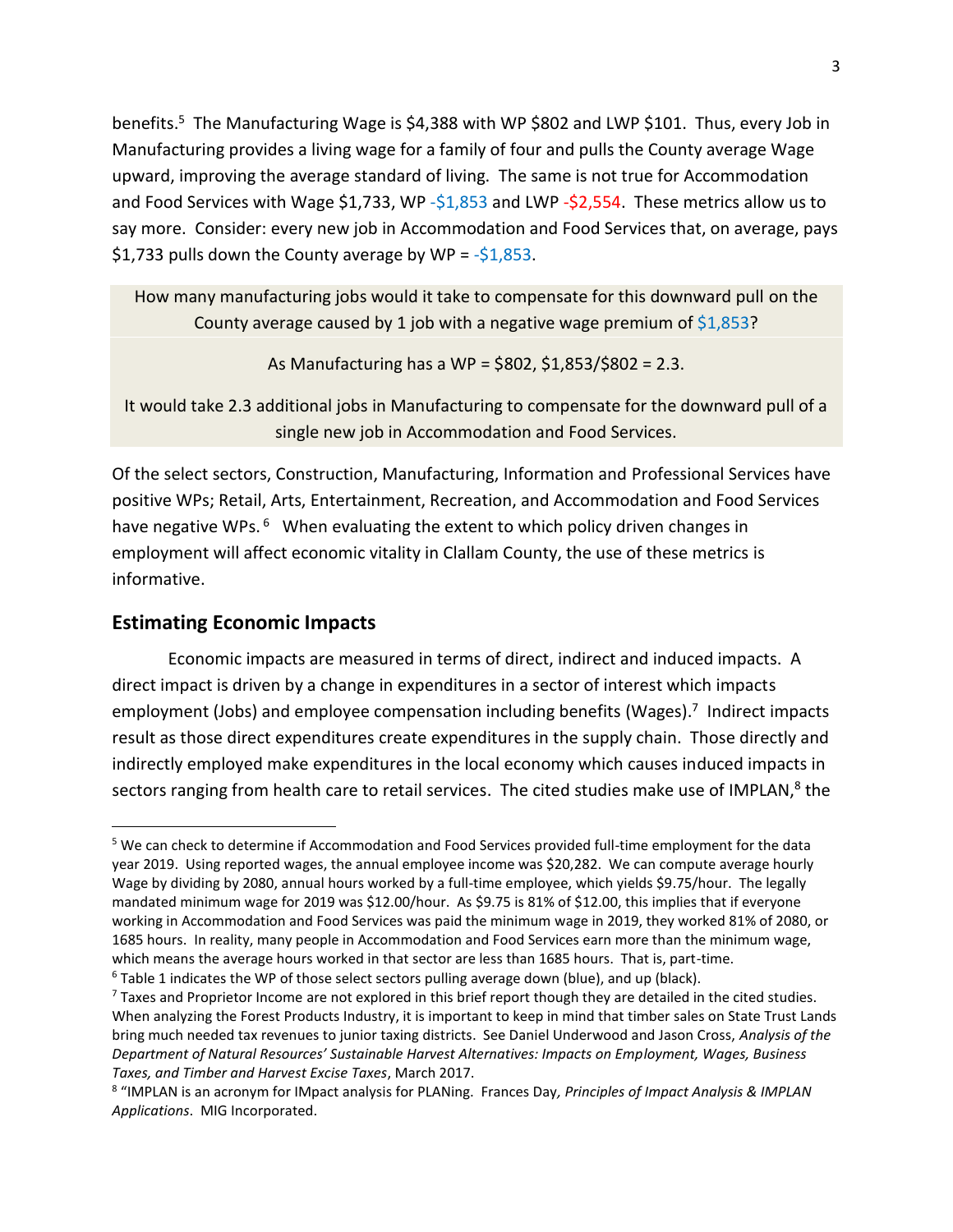benefits.<sup>5</sup> The Manufacturing Wage is \$4,388 with WP \$802 and LWP \$101. Thus, every Job in Manufacturing provides a living wage for a family of four and pulls the County average Wage upward, improving the average standard of living. The same is not true for Accommodation and Food Services with Wage \$1,733, WP -\$1,853 and LWP -\$2,554. These metrics allow us to say more. Consider: every new job in Accommodation and Food Services that, on average, pays \$1,733 pulls down the County average by WP =  $-$ \$1,853.

How many manufacturing jobs would it take to compensate for this downward pull on the County average caused by 1 job with a negative wage premium of  $$1,853$ ?

As Manufacturing has a WP = \$802, \$1,853/\$802 = 2.3.

It would take 2.3 additional jobs in Manufacturing to compensate for the downward pull of a single new job in Accommodation and Food Services.

Of the select sectors, Construction, Manufacturing, Information and Professional Services have positive WPs; Retail, Arts, Entertainment, Recreation, and Accommodation and Food Services have negative WPs.<sup>6</sup> When evaluating the extent to which policy driven changes in employment will affect economic vitality in Clallam County, the use of these metrics is informative.

#### **Estimating Economic Impacts**

Economic impacts are measured in terms of direct, indirect and induced impacts. A direct impact is driven by a change in expenditures in a sector of interest which impacts employment (Jobs) and employee compensation including benefits (Wages).<sup>7</sup> Indirect impacts result as those direct expenditures create expenditures in the supply chain. Those directly and indirectly employed make expenditures in the local economy which causes induced impacts in sectors ranging from health care to retail services. The cited studies make use of IMPLAN,<sup>8</sup> the

<sup>&</sup>lt;sup>5</sup> We can check to determine if Accommodation and Food Services provided full-time employment for the data year 2019. Using reported wages, the annual employee income was \$20,282. We can compute average hourly Wage by dividing by 2080, annual hours worked by a full-time employee, which yields \$9.75/hour. The legally mandated minimum wage for 2019 was \$12.00/hour. As \$9.75 is 81% of \$12.00, this implies that if everyone working in Accommodation and Food Services was paid the minimum wage in 2019, they worked 81% of 2080, or 1685 hours. In reality, many people in Accommodation and Food Services earn more than the minimum wage, which means the average hours worked in that sector are less than 1685 hours. That is, part-time.

 $6$  Table 1 indicates the WP of those select sectors pulling average down (blue), and up (black).

 $7$  Taxes and Proprietor Income are not explored in this brief report though they are detailed in the cited studies. When analyzing the Forest Products Industry, it is important to keep in mind that timber sales on State Trust Lands bring much needed tax revenues to junior taxing districts. See Daniel Underwood and Jason Cross, *Analysis of the Department of Natural Resources' Sustainable Harvest Alternatives: Impacts on Employment, Wages, Business Taxes, and Timber and Harvest Excise Taxes*, March 2017.

<sup>8</sup> "IMPLAN is an acronym for IMpact analysis for PLANing. Frances Day*, Principles of Impact Analysis & IMPLAN Applications*. MIG Incorporated.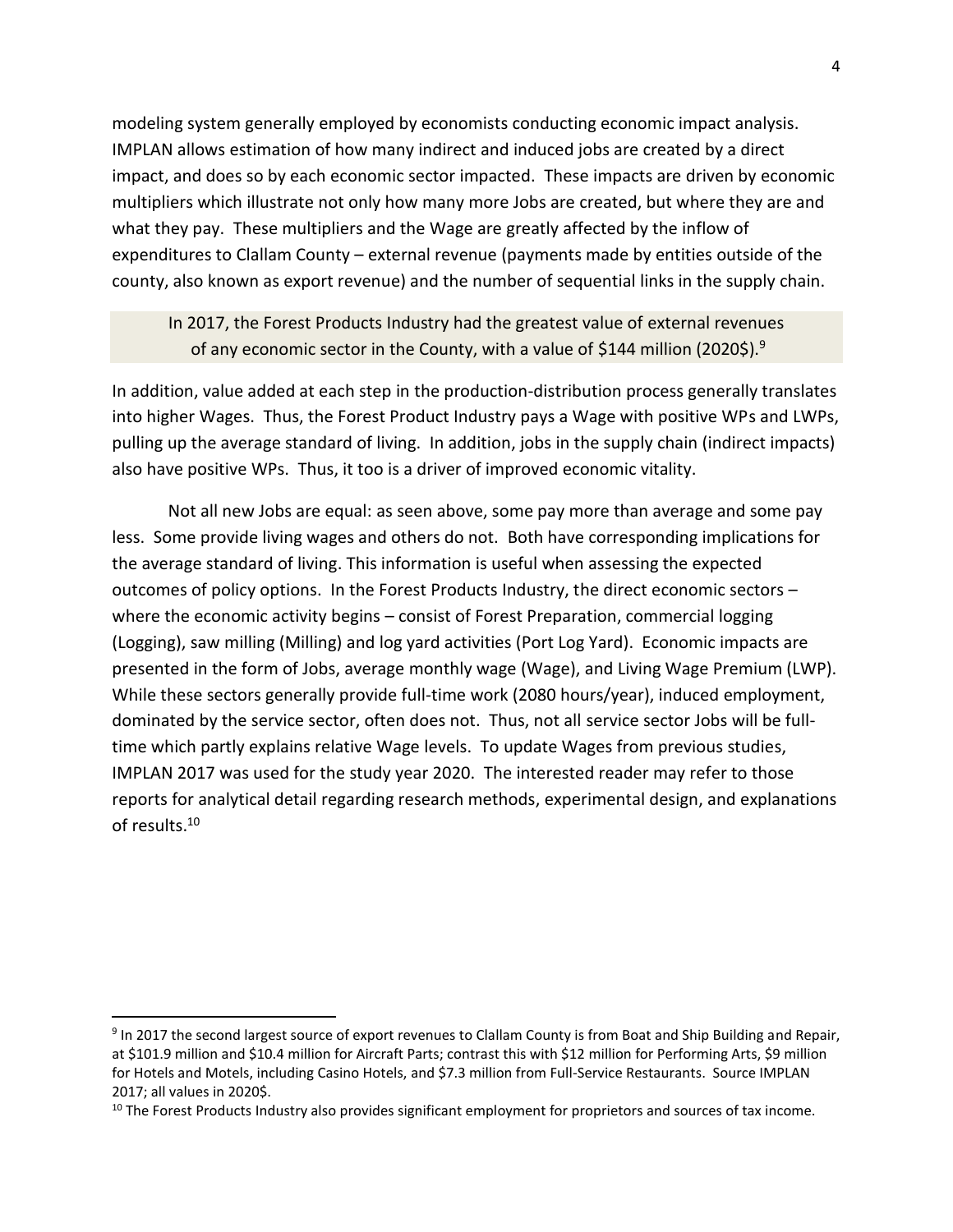modeling system generally employed by economists conducting economic impact analysis. IMPLAN allows estimation of how many indirect and induced jobs are created by a direct impact, and does so by each economic sector impacted. These impacts are driven by economic multipliers which illustrate not only how many more Jobs are created, but where they are and what they pay. These multipliers and the Wage are greatly affected by the inflow of expenditures to Clallam County – external revenue (payments made by entities outside of the county, also known as export revenue) and the number of sequential links in the supply chain.

In 2017, the Forest Products Industry had the greatest value of external revenues of any economic sector in the County, with a value of \$144 million (2020\$).<sup>9</sup>

In addition, value added at each step in the production-distribution process generally translates into higher Wages. Thus, the Forest Product Industry pays a Wage with positive WPs and LWPs, pulling up the average standard of living. In addition, jobs in the supply chain (indirect impacts) also have positive WPs. Thus, it too is a driver of improved economic vitality.

Not all new Jobs are equal: as seen above, some pay more than average and some pay less. Some provide living wages and others do not. Both have corresponding implications for the average standard of living. This information is useful when assessing the expected outcomes of policy options. In the Forest Products Industry, the direct economic sectors – where the economic activity begins – consist of Forest Preparation, commercial logging (Logging), saw milling (Milling) and log yard activities (Port Log Yard). Economic impacts are presented in the form of Jobs, average monthly wage (Wage), and Living Wage Premium (LWP). While these sectors generally provide full-time work (2080 hours/year), induced employment, dominated by the service sector, often does not. Thus, not all service sector Jobs will be fulltime which partly explains relative Wage levels. To update Wages from previous studies, IMPLAN 2017 was used for the study year 2020. The interested reader may refer to those reports for analytical detail regarding research methods, experimental design, and explanations of results. 10

<sup>&</sup>lt;sup>9</sup> In 2017 the second largest source of export revenues to Clallam County is from Boat and Ship Building and Repair, at \$101.9 million and \$10.4 million for Aircraft Parts; contrast this with \$12 million for Performing Arts, \$9 million for Hotels and Motels, including Casino Hotels, and \$7.3 million from Full-Service Restaurants. Source IMPLAN 2017; all values in 2020\$.

<sup>&</sup>lt;sup>10</sup> The Forest Products Industry also provides significant employment for proprietors and sources of tax income.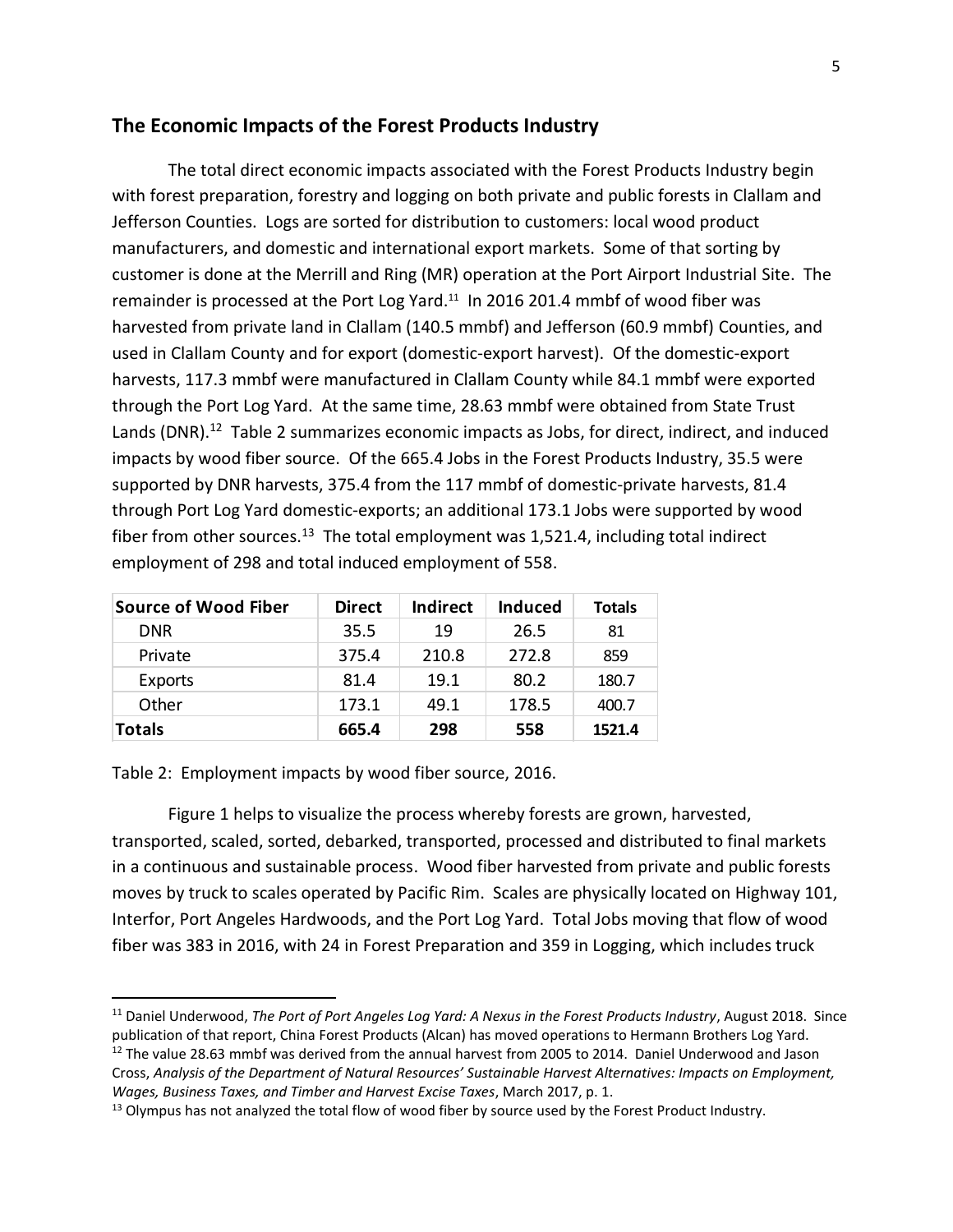#### **The Economic Impacts of the Forest Products Industry**

The total direct economic impacts associated with the Forest Products Industry begin with forest preparation, forestry and logging on both private and public forests in Clallam and Jefferson Counties. Logs are sorted for distribution to customers: local wood product manufacturers, and domestic and international export markets. Some of that sorting by customer is done at the Merrill and Ring (MR) operation at the Port Airport Industrial Site. The remainder is processed at the Port Log Yard.<sup>11</sup> In 2016 201.4 mmbf of wood fiber was harvested from private land in Clallam (140.5 mmbf) and Jefferson (60.9 mmbf) Counties, and used in Clallam County and for export (domestic-export harvest). Of the domestic-export harvests, 117.3 mmbf were manufactured in Clallam County while 84.1 mmbf were exported through the Port Log Yard. At the same time, 28.63 mmbf were obtained from State Trust Lands (DNR).<sup>12</sup> Table 2 summarizes economic impacts as Jobs, for direct, indirect, and induced impacts by wood fiber source. Of the 665.4 Jobs in the Forest Products Industry, 35.5 were supported by DNR harvests, 375.4 from the 117 mmbf of domestic-private harvests, 81.4 through Port Log Yard domestic-exports; an additional 173.1 Jobs were supported by wood fiber from other sources.<sup>13</sup> The total employment was 1,521.4, including total indirect employment of 298 and total induced employment of 558.

| <b>Source of Wood Fiber</b> | <b>Direct</b> | Indirect | <b>Induced</b> | <b>Totals</b> |
|-----------------------------|---------------|----------|----------------|---------------|
| <b>DNR</b>                  | 35.5          | 19       | 26.5           | 81            |
| Private                     | 375.4         | 210.8    | 272.8          | 859           |
| Exports                     | 81.4          | 19.1     | 80.2           | 180.7         |
| Other                       | 173.1         | 49.1     | 178.5          | 400.7         |
| <b>Totals</b>               | 665.4         | 298      | 558            | 1521.4        |

Table 2: Employment impacts by wood fiber source, 2016.

Figure 1 helps to visualize the process whereby forests are grown, harvested, transported, scaled, sorted, debarked, transported, processed and distributed to final markets in a continuous and sustainable process. Wood fiber harvested from private and public forests moves by truck to scales operated by Pacific Rim. Scales are physically located on Highway 101, Interfor, Port Angeles Hardwoods, and the Port Log Yard. Total Jobs moving that flow of wood fiber was 383 in 2016, with 24 in Forest Preparation and 359 in Logging, which includes truck

<sup>11</sup> Daniel Underwood, *The Port of Port Angeles Log Yard: A Nexus in the Forest Products Industry*, August 2018. Since publication of that report, China Forest Products (Alcan) has moved operations to Hermann Brothers Log Yard.

 $12$  The value 28.63 mmbf was derived from the annual harvest from 2005 to 2014. Daniel Underwood and Jason Cross, *Analysis of the Department of Natural Resources' Sustainable Harvest Alternatives: Impacts on Employment, Wages, Business Taxes, and Timber and Harvest Excise Taxes*, March 2017, p. 1.

<sup>&</sup>lt;sup>13</sup> Olympus has not analyzed the total flow of wood fiber by source used by the Forest Product Industry.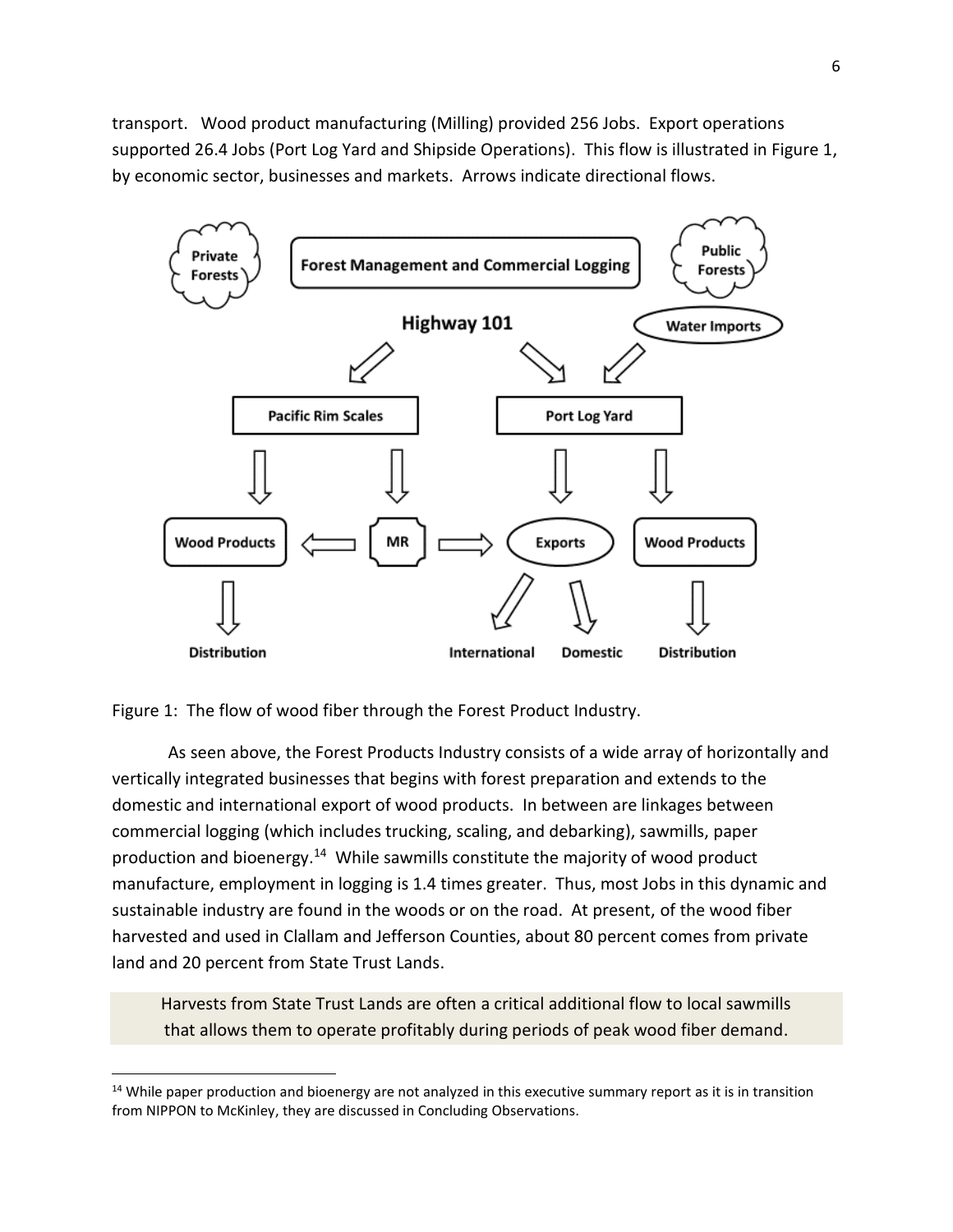transport. Wood product manufacturing (Milling) provided 256 Jobs. Export operations supported 26.4 Jobs (Port Log Yard and Shipside Operations). This flow is illustrated in Figure 1, by economic sector, businesses and markets. Arrows indicate directional flows.



Figure 1: The flow of wood fiber through the Forest Product Industry.

As seen above, the Forest Products Industry consists of a wide array of horizontally and vertically integrated businesses that begins with forest preparation and extends to the domestic and international export of wood products. In between are linkages between commercial logging (which includes trucking, scaling, and debarking), sawmills, paper production and bioenergy.<sup>14</sup> While sawmills constitute the majority of wood product manufacture, employment in logging is 1.4 times greater. Thus, most Jobs in this dynamic and sustainable industry are found in the woods or on the road. At present, of the wood fiber harvested and used in Clallam and Jefferson Counties, about 80 percent comes from private land and 20 percent from State Trust Lands.

Harvests from State Trust Lands are often a critical additional flow to local sawmills that allows them to operate profitably during periods of peak wood fiber demand.

 $14$  While paper production and bioenergy are not analyzed in this executive summary report as it is in transition from NIPPON to McKinley, they are discussed in Concluding Observations.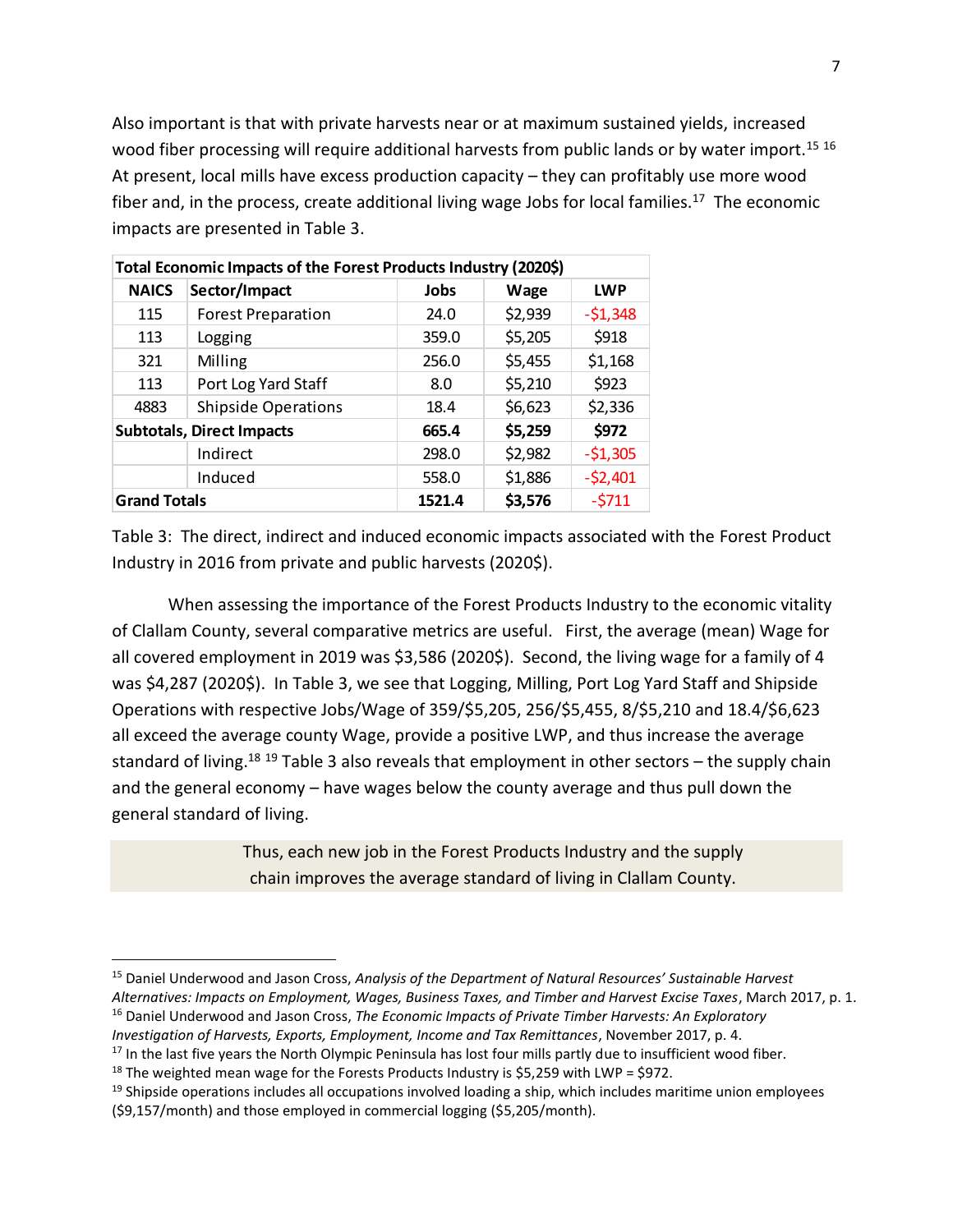Also important is that with private harvests near or at maximum sustained yields, increased wood fiber processing will require additional harvests from public lands or by water import.<sup>15 16</sup> At present, local mills have excess production capacity – they can profitably use more wood fiber and, in the process, create additional living wage Jobs for local families.<sup>17</sup> The economic impacts are presented in Table 3.

| Total Economic Impacts of the Forest Products Industry (2020\$) |                            |        |         |            |  |
|-----------------------------------------------------------------|----------------------------|--------|---------|------------|--|
| <b>NAICS</b>                                                    | Sector/Impact              | Jobs   | Wage    | <b>LWP</b> |  |
| 115                                                             | <b>Forest Preparation</b>  | 24.0   | \$2,939 | $-51,348$  |  |
| 113                                                             | Logging                    | 359.0  | \$5,205 | \$918      |  |
| 321                                                             | Milling                    | 256.0  | \$5,455 | \$1,168    |  |
| 113                                                             | Port Log Yard Staff        | 8.0    | \$5,210 | \$923      |  |
| 4883                                                            | <b>Shipside Operations</b> | 18.4   | \$6,623 | \$2,336    |  |
| <b>Subtotals, Direct Impacts</b>                                |                            | 665.4  | \$5,259 | \$972      |  |
|                                                                 | Indirect                   | 298.0  | \$2,982 | $-51,305$  |  |
|                                                                 | Induced                    | 558.0  | \$1,886 | $-52,401$  |  |
| <b>Grand Totals</b>                                             |                            | 1521.4 | \$3,576 | $-5711$    |  |

Table 3: The direct, indirect and induced economic impacts associated with the Forest Product Industry in 2016 from private and public harvests (2020\$).

When assessing the importance of the Forest Products Industry to the economic vitality of Clallam County, several comparative metrics are useful. First, the average (mean) Wage for all covered employment in 2019 was \$3,586 (2020\$). Second, the living wage for a family of 4 was \$4,287 (2020\$). In Table 3, we see that Logging, Milling, Port Log Yard Staff and Shipside Operations with respective Jobs/Wage of 359/\$5,205, 256/\$5,455, 8/\$5,210 and 18.4/\$6,623 all exceed the average county Wage, provide a positive LWP, and thus increase the average standard of living.<sup>18 19</sup> Table 3 also reveals that employment in other sectors – the supply chain and the general economy – have wages below the county average and thus pull down the general standard of living.

> Thus, each new job in the Forest Products Industry and the supply chain improves the average standard of living in Clallam County.

<sup>15</sup> Daniel Underwood and Jason Cross, *Analysis of the Department of Natural Resources' Sustainable Harvest Alternatives: Impacts on Employment, Wages, Business Taxes, and Timber and Harvest Excise Taxes*, March 2017, p. 1.

<sup>16</sup> Daniel Underwood and Jason Cross, *The Economic Impacts of Private Timber Harvests: An Exploratory Investigation of Harvests, Exports, Employment, Income and Tax Remittances*, November 2017, p. 4.

<sup>&</sup>lt;sup>17</sup> In the last five years the North Olympic Peninsula has lost four mills partly due to insufficient wood fiber.

<sup>&</sup>lt;sup>18</sup> The weighted mean wage for the Forests Products Industry is \$5,259 with LWP = \$972.

 $19$  Shipside operations includes all occupations involved loading a ship, which includes maritime union employees (\$9,157/month) and those employed in commercial logging (\$5,205/month).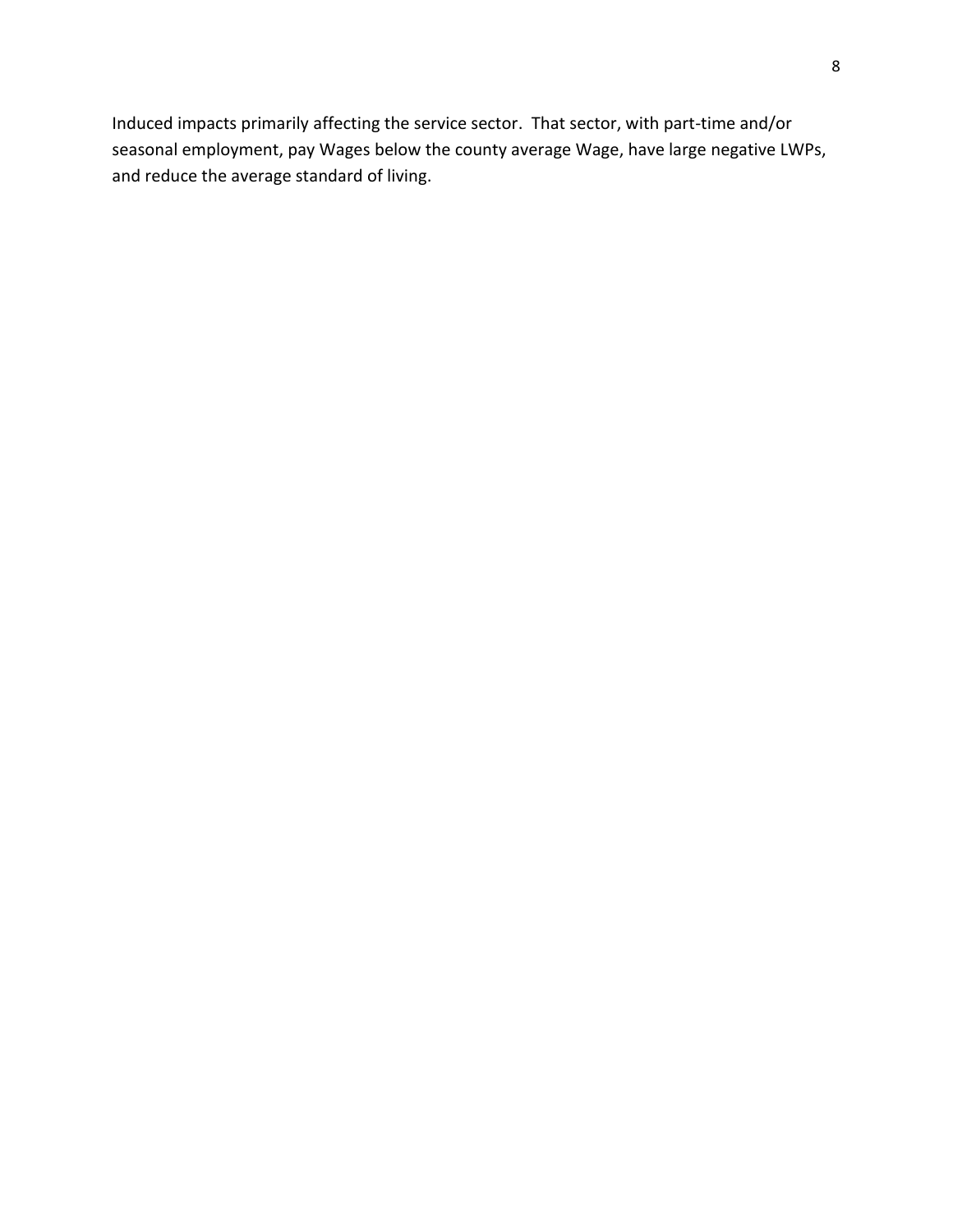Induced impacts primarily affecting the service sector. That sector, with part-time and/or seasonal employment, pay Wages below the county average Wage, have large negative LWPs, and reduce the average standard of living.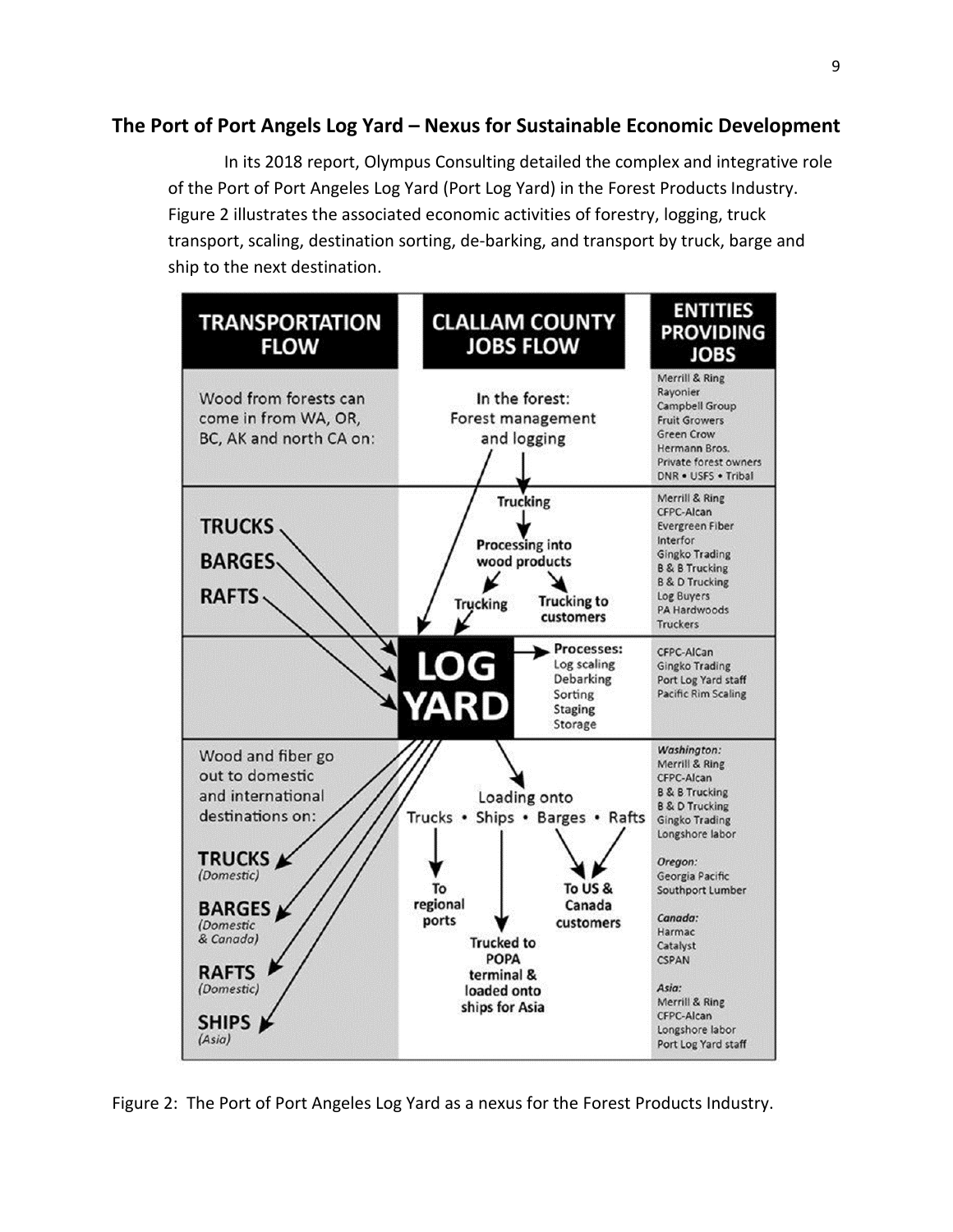#### **The Port of Port Angels Log Yard – Nexus for Sustainable Economic Development**

In its 2018 report, Olympus Consulting detailed the complex and integrative role of the Port of Port Angeles Log Yard (Port Log Yard) in the Forest Products Industry. Figure 2 illustrates the associated economic activities of forestry, logging, truck transport, scaling, destination sorting, de-barking, and transport by truck, barge and ship to the next destination.



Figure 2: The Port of Port Angeles Log Yard as a nexus for the Forest Products Industry.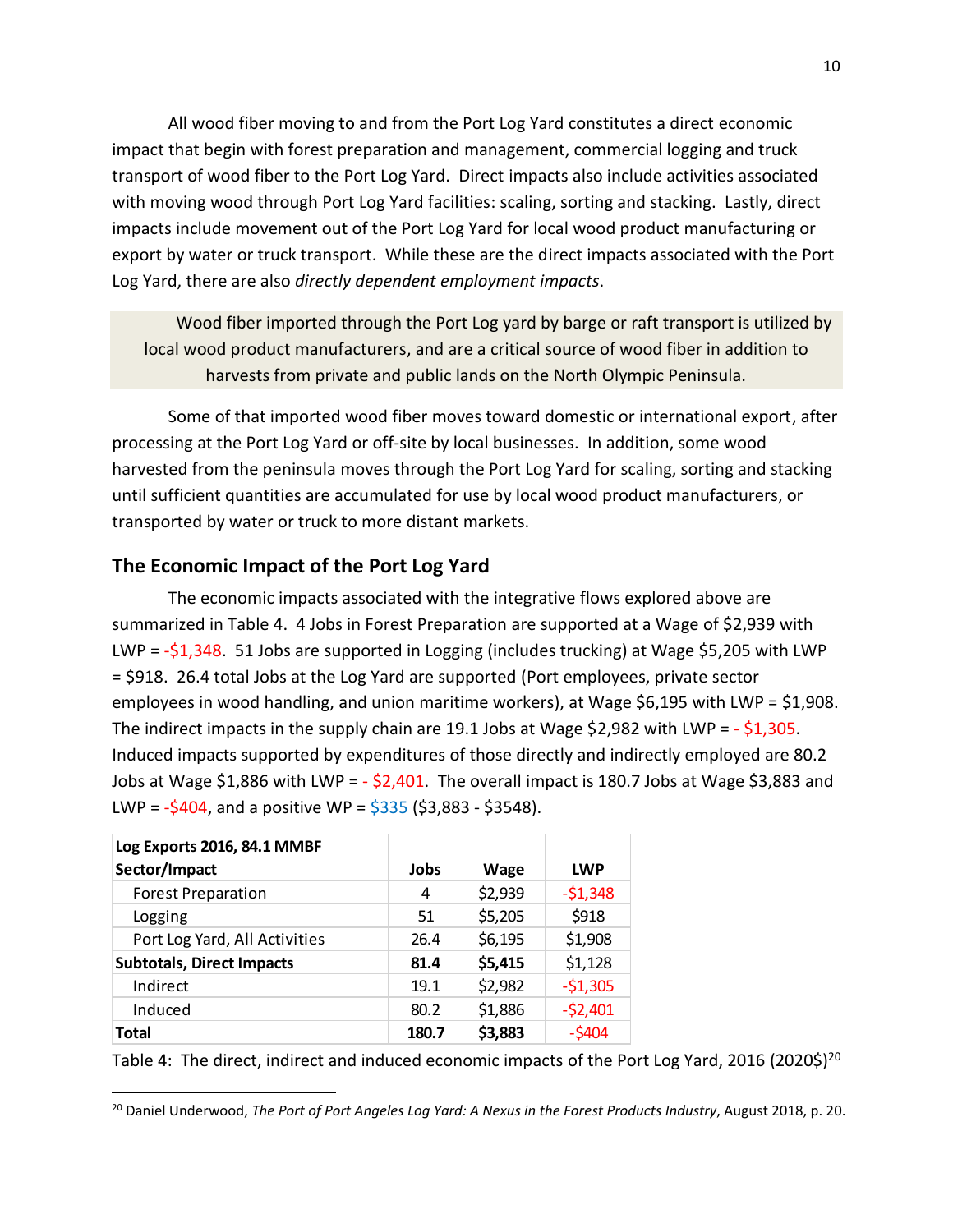All wood fiber moving to and from the Port Log Yard constitutes a direct economic impact that begin with forest preparation and management, commercial logging and truck transport of wood fiber to the Port Log Yard. Direct impacts also include activities associated with moving wood through Port Log Yard facilities: scaling, sorting and stacking. Lastly, direct impacts include movement out of the Port Log Yard for local wood product manufacturing or export by water or truck transport. While these are the direct impacts associated with the Port Log Yard, there are also *directly dependent employment impacts*.

Wood fiber imported through the Port Log yard by barge or raft transport is utilized by local wood product manufacturers, and are a critical source of wood fiber in addition to harvests from private and public lands on the North Olympic Peninsula.

Some of that imported wood fiber moves toward domestic or international export, after processing at the Port Log Yard or off-site by local businesses. In addition, some wood harvested from the peninsula moves through the Port Log Yard for scaling, sorting and stacking until sufficient quantities are accumulated for use by local wood product manufacturers, or transported by water or truck to more distant markets.

#### **The Economic Impact of the Port Log Yard**

The economic impacts associated with the integrative flows explored above are summarized in Table 4. 4 Jobs in Forest Preparation are supported at a Wage of \$2,939 with LWP = -\$1,348. 51 Jobs are supported in Logging (includes trucking) at Wage \$5,205 with LWP = \$918. 26.4 total Jobs at the Log Yard are supported (Port employees, private sector employees in wood handling, and union maritime workers), at Wage \$6,195 with LWP = \$1,908. The indirect impacts in the supply chain are 19.1 Jobs at Wage \$2,982 with LWP =  $-$  \$1,305. Induced impacts supported by expenditures of those directly and indirectly employed are 80.2 Jobs at Wage \$1,886 with LWP =  $-$  \$2,401. The overall impact is 180.7 Jobs at Wage \$3,883 and LWP =  $-5404$ , and a positive WP =  $5335$  (\$3,883 - \$3548).

| Log Exports 2016, 84.1 MMBF      |       |         |            |  |
|----------------------------------|-------|---------|------------|--|
| Sector/Impact                    | Jobs  | Wage    | <b>LWP</b> |  |
| <b>Forest Preparation</b>        | 4     | \$2,939 | $-51,348$  |  |
| Logging                          | 51    | \$5,205 | \$918      |  |
| Port Log Yard, All Activities    | 26.4  | \$6,195 | \$1,908    |  |
| <b>Subtotals, Direct Impacts</b> | 81.4  | \$5,415 | \$1,128    |  |
| Indirect                         | 19.1  | \$2,982 | $-51,305$  |  |
| Induced                          | 80.2  | \$1,886 | $-52,401$  |  |
| <b>Total</b>                     | 180.7 | \$3,883 | $-5404$    |  |

Table 4: The direct, indirect and induced economic impacts of the Port Log Yard, 2016 (2020\$)<sup>20</sup>

<sup>20</sup> Daniel Underwood, *The Port of Port Angeles Log Yard: A Nexus in the Forest Products Industry*, August 2018, p. 20.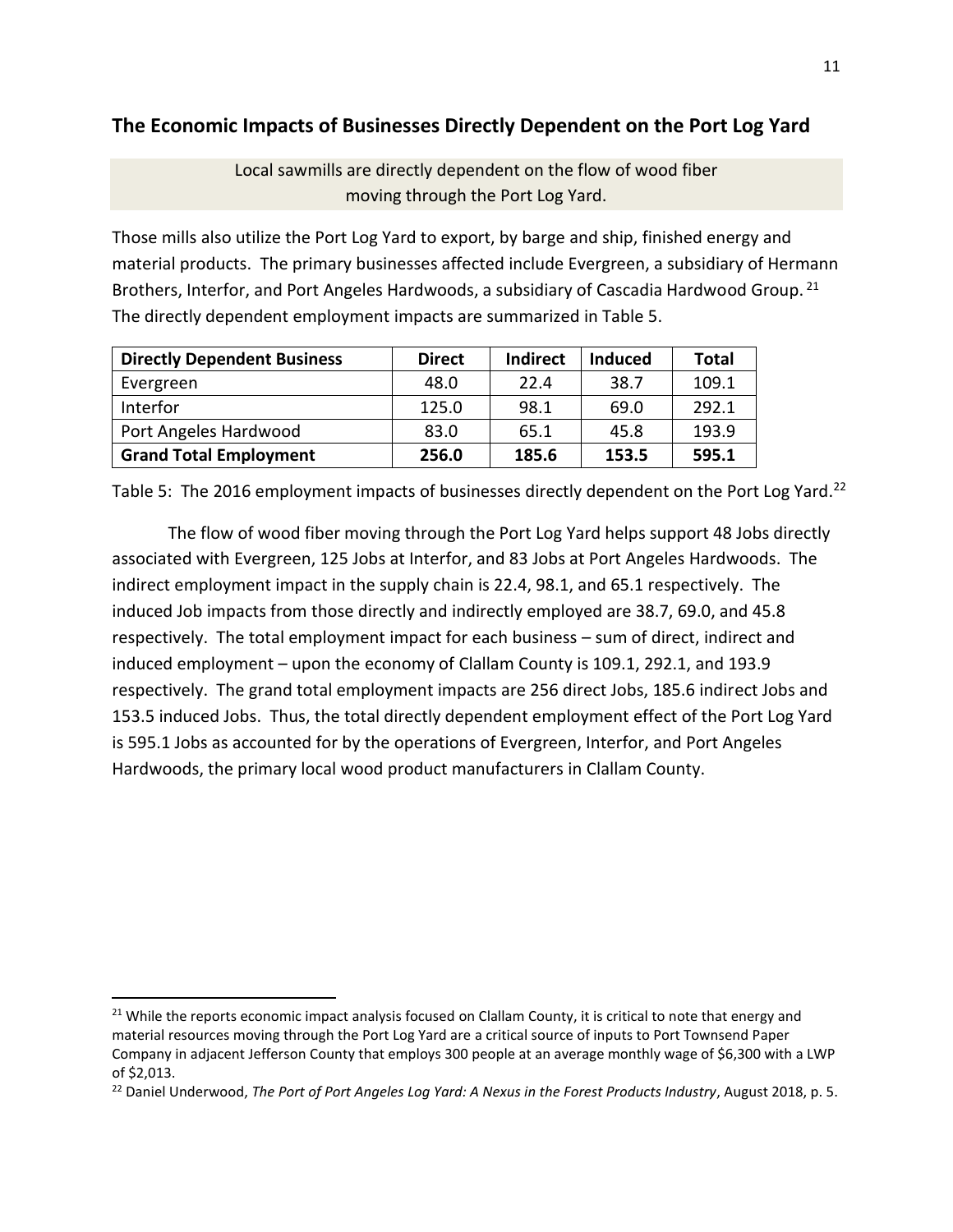### **The Economic Impacts of Businesses Directly Dependent on the Port Log Yard**

Local sawmills are directly dependent on the flow of wood fiber moving through the Port Log Yard.

Those mills also utilize the Port Log Yard to export, by barge and ship, finished energy and material products. The primary businesses affected include Evergreen, a subsidiary of Hermann Brothers, Interfor, and Port Angeles Hardwoods, a subsidiary of Cascadia Hardwood Group.<sup>21</sup> The directly dependent employment impacts are summarized in Table 5.

| <b>Directly Dependent Business</b> | <b>Direct</b> | <b>Indirect</b> | <b>Induced</b> | Total |
|------------------------------------|---------------|-----------------|----------------|-------|
| Evergreen                          | 48.0          | 22.4            | 38.7           | 109.1 |
| Interfor                           | 125.0         | 98.1            | 69.0           | 292.1 |
| Port Angeles Hardwood              | 83.0          | 65.1            | 45.8           | 193.9 |
| <b>Grand Total Employment</b>      | 256.0         | 185.6           | 153.5          | 595.1 |

Table 5: The 2016 employment impacts of businesses directly dependent on the Port Log Yard.<sup>22</sup>

The flow of wood fiber moving through the Port Log Yard helps support 48 Jobs directly associated with Evergreen, 125 Jobs at Interfor, and 83 Jobs at Port Angeles Hardwoods. The indirect employment impact in the supply chain is 22.4, 98.1, and 65.1 respectively. The induced Job impacts from those directly and indirectly employed are 38.7, 69.0, and 45.8 respectively. The total employment impact for each business – sum of direct, indirect and induced employment – upon the economy of Clallam County is 109.1, 292.1, and 193.9 respectively. The grand total employment impacts are 256 direct Jobs, 185.6 indirect Jobs and 153.5 induced Jobs. Thus, the total directly dependent employment effect of the Port Log Yard is 595.1 Jobs as accounted for by the operations of Evergreen, Interfor, and Port Angeles Hardwoods, the primary local wood product manufacturers in Clallam County.

<sup>&</sup>lt;sup>21</sup> While the reports economic impact analysis focused on Clallam County, it is critical to note that energy and material resources moving through the Port Log Yard are a critical source of inputs to Port Townsend Paper Company in adjacent Jefferson County that employs 300 people at an average monthly wage of \$6,300 with a LWP of \$2,013.

<sup>22</sup> Daniel Underwood, *The Port of Port Angeles Log Yard: A Nexus in the Forest Products Industry*, August 2018, p. 5.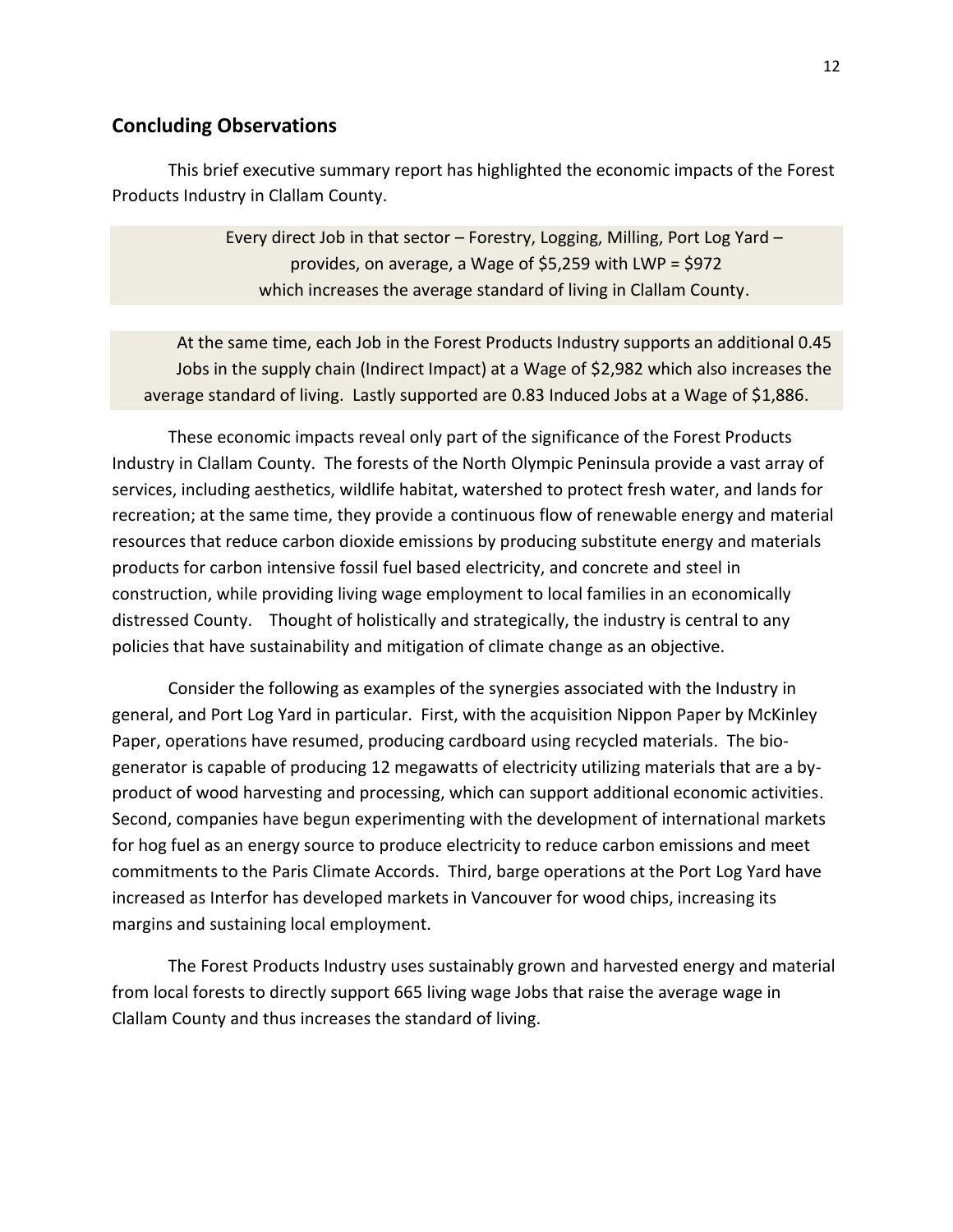#### **Concluding Observations**

This brief executive summary report has highlighted the economic impacts of the Forest Products Industry in Clallam County.

> Every direct Job in that sector – Forestry, Logging, Milling, Port Log Yard – provides, on average, a Wage of \$5,259 with LWP = \$972 which increases the average standard of living in Clallam County.

At the same time, each Job in the Forest Products Industry supports an additional 0.45 Jobs in the supply chain (Indirect Impact) at a Wage of \$2,982 which also increases the average standard of living. Lastly supported are 0.83 Induced Jobs at a Wage of \$1,886.

These economic impacts reveal only part of the significance of the Forest Products Industry in Clallam County. The forests of the North Olympic Peninsula provide a vast array of services, including aesthetics, wildlife habitat, watershed to protect fresh water, and lands for recreation; at the same time, they provide a continuous flow of renewable energy and material resources that reduce carbon dioxide emissions by producing substitute energy and materials products for carbon intensive fossil fuel based electricity, and concrete and steel in construction, while providing living wage employment to local families in an economically distressed County. Thought of holistically and strategically, the industry is central to any policies that have sustainability and mitigation of climate change as an objective.

Consider the following as examples of the synergies associated with the Industry in general, and Port Log Yard in particular. First, with the acquisition Nippon Paper by McKinley Paper, operations have resumed, producing cardboard using recycled materials. The biogenerator is capable of producing 12 megawatts of electricity utilizing materials that are a byproduct of wood harvesting and processing, which can support additional economic activities. Second, companies have begun experimenting with the development of international markets for hog fuel as an energy source to produce electricity to reduce carbon emissions and meet commitments to the Paris Climate Accords. Third, barge operations at the Port Log Yard have increased as Interfor has developed markets in Vancouver for wood chips, increasing its margins and sustaining local employment.

The Forest Products Industry uses sustainably grown and harvested energy and material from local forests to directly support 665 living wage Jobs that raise the average wage in Clallam County and thus increases the standard of living.